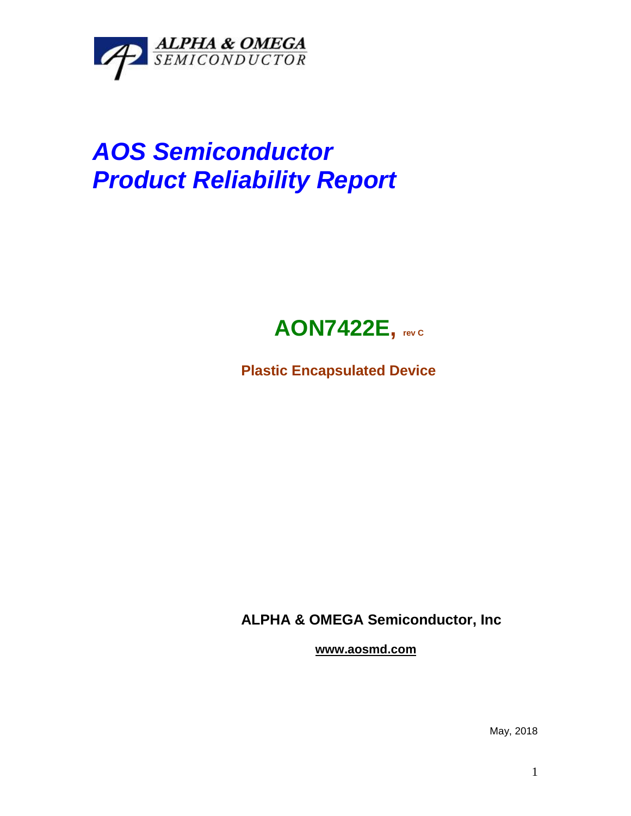

## *AOS Semiconductor Product Reliability Report*



**Plastic Encapsulated Device**

**ALPHA & OMEGA Semiconductor, Inc**

**www.aosmd.com**

May, 2018